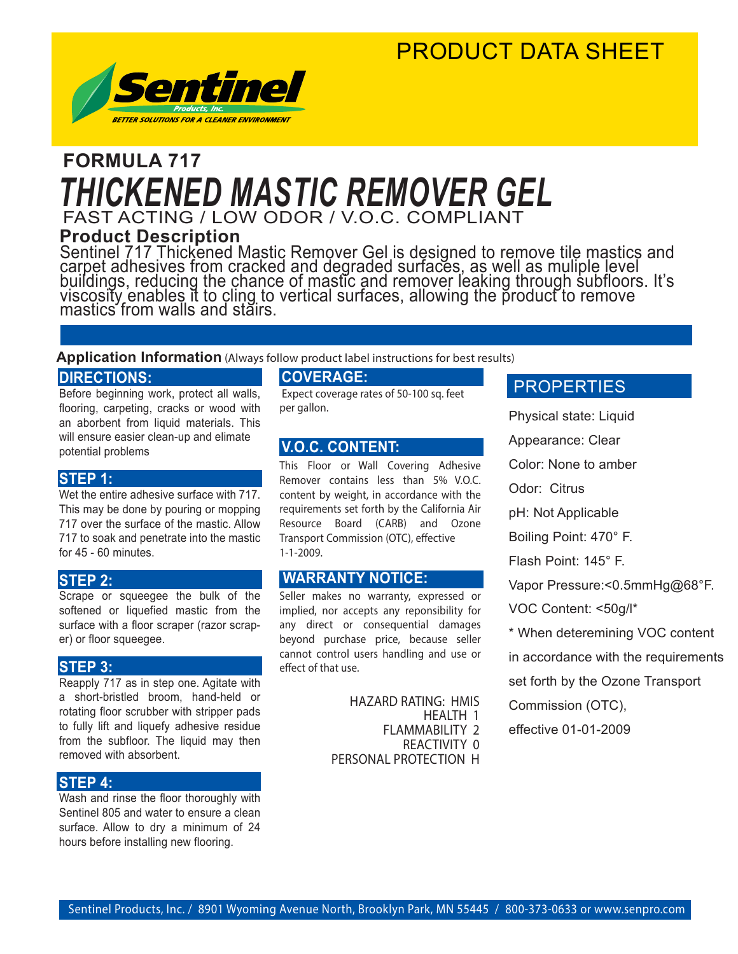### PRODUCT DATA SHEET



### FAST ACTING / LOW ODOR / V.O.C. COMPLIANT **FORMULA 717** *THICKENED MASTIC REMOVER GEL*

**Product Description**

Sentinel 717 Thickened Mastic Remover Gel is designed to remove tile mastics and carpet adhesives from cracked and degraded surfaces, as well as muliple level buildings, reducing the chance of mastic and remover leaking through subfloors. It's viscosity enables it to cling to vertical surfaces, allowing the product to remove mastics from walls and stairs.

#### **Application Information** (Always follow product label instructions for best results)

#### **DIRECTIONS:**

Before beginning work, protect all walls, flooring, carpeting, cracks or wood with an aborbent from liquid materials. This will ensure easier clean-up and elimate potential problems

#### **STEP 1:**

Wet the entire adhesive surface with 717. This may be done by pouring or mopping 717 over the surface of the mastic. Allow 717 to soak and penetrate into the mastic for 45 - 60 minutes.

#### **STEP 2:**

Scrape or squeegee the bulk of the softened or liquefied mastic from the surface with a floor scraper (razor scraper) or floor squeegee.

#### **STEP 3:**

Reapply 717 as in step one. Agitate with a short-bristled broom, hand-held or rotating floor scrubber with stripper pads to fully lift and liquefy adhesive residue from the subfloor. The liquid may then removed with absorbent.

#### **STEP 4:**

Wash and rinse the floor thoroughly with Sentinel 805 and water to ensure a clean surface. Allow to dry a minimum of 24 hours before installing new flooring.

#### **COVERAGE:**

 Expect coverage rates of 50-100 sq. feet per gallon.

#### **V.O.C. CONTENT:**

This Floor or Wall Covering Adhesive Remover contains less than 5% V.O.C. content by weight, in accordance with the requirements set forth by the California Air Resource Board (CARB) and Ozone Transport Commission (OTC), effective 1-1-2009.

#### **WARRANTY NOTICE:**

Seller makes no warranty, expressed or implied, nor accepts any reponsibility for any direct or consequential damages beyond purchase price, because seller cannot control users handling and use or effect of that use.

> HAZARD RATING: HMIS HEALTH 1 FLAMMABILITY 2 REACTIVITY 0 PERSONAL PROTECTION H

#### **PROPERTIES**

Physical state: Liquid

Appearance: Clear

Color: None to amber

Odor: Citrus

pH: Not Applicable

Boiling Point: 470° F.

Flash Point: 145° F.

Vapor Pressure:<0.5mmHg@68°F.

VOC Content: <50g/l\*

\* When deteremining VOC content

in accordance with the requirements

set forth by the Ozone Transport

Commission (OTC),

effective 01-01-2009